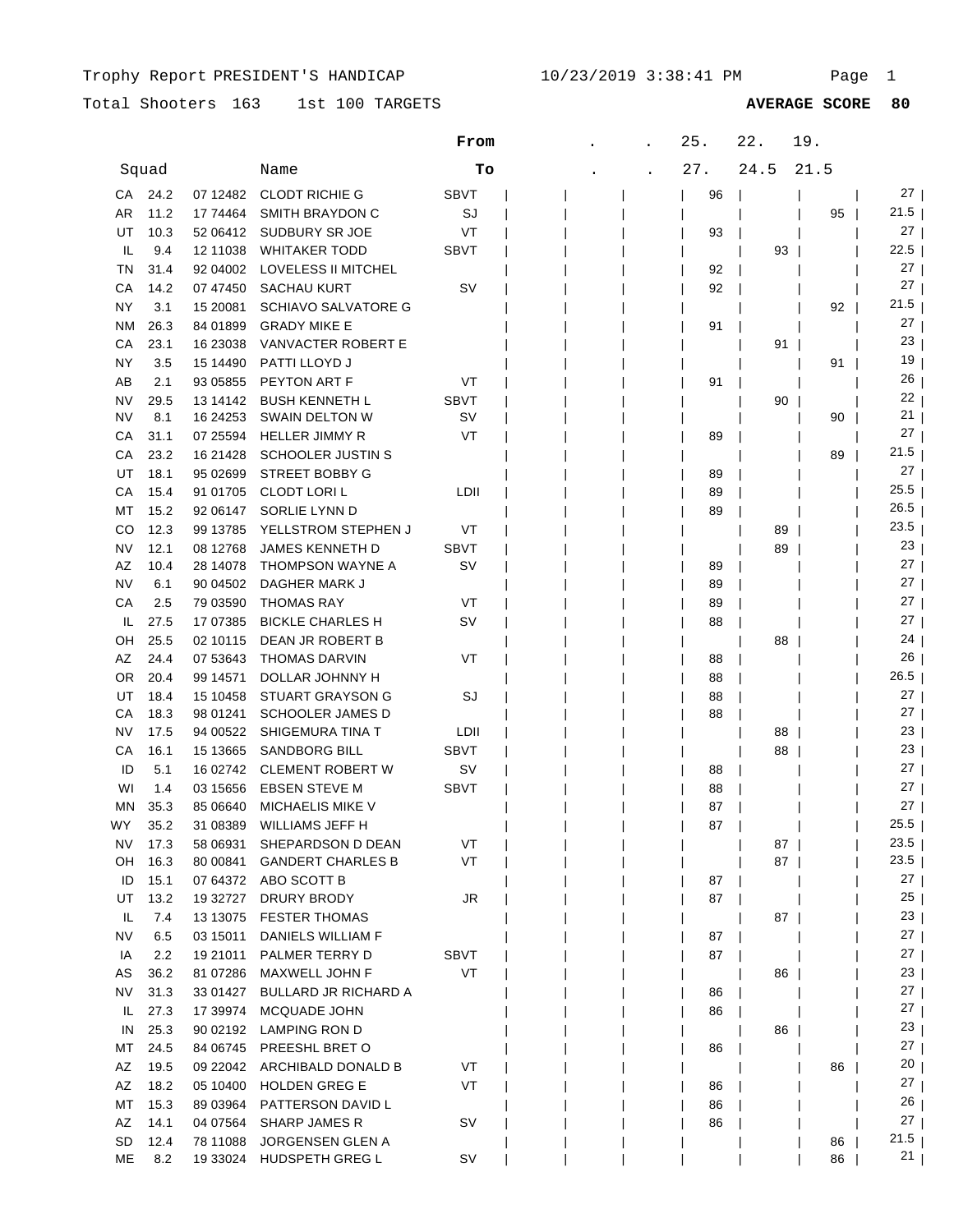|           |       |            |                            | From        |  | 25. | 22.       | 19.  |                 |
|-----------|-------|------------|----------------------------|-------------|--|-----|-----------|------|-----------------|
|           | Squad |            | Name                       | Tо          |  | 27. | 24.5      | 21.5 |                 |
| CA        | 24.2  | 07 12482   | <b>CLODT RICHIE G</b>      | <b>SBVT</b> |  | 96  |           |      | 27 I            |
| AR        | 11.2  | 17 74464   | SMITH BRAYDON C            | SJ          |  |     |           | 95   | $21.5$          |
| UT        | 10.3  | 52 06412   | SUDBURY SR JOE             | VT          |  | 93  |           |      | 27              |
| IL        | 9.4   | 12 11038   | <b>WHITAKER TODD</b>       | <b>SBVT</b> |  |     | 93        |      | 22.5            |
| ΤN        | 31.4  | 92 04002   | LOVELESS II MITCHEL        |             |  | 92  |           |      | 27              |
| CА        | 14.2  | 07 47450   | SACHAU KURT                | SV          |  | 92  |           |      | 27              |
| ΝY        | 3.1   | 15 20081   | <b>SCHIAVO SALVATORE G</b> |             |  |     |           | 92   | 21.5            |
| ΝM        | 26.3  | 84 01899   | <b>GRADY MIKE E</b>        |             |  | 91  |           |      | 27              |
| СA        | 23.1  | 16 23038   | VANVACTER ROBERT E         |             |  |     | 91        |      | 23              |
| ΝY        | 3.5   | 15 14490   | PATTI LLOYD J              |             |  |     |           | 91   | 19              |
| AВ        | 2.1   | 93 05855   | PEYTON ART F               | VT          |  | 91  |           |      | 26              |
| NV        | 29.5  | 13 14 142  | <b>BUSH KENNETH L</b>      | <b>SBVT</b> |  |     | 90        |      | 22              |
| NV        | 8.1   | 16 24 25 3 | SWAIN DELTON W             | S٧          |  |     |           | 90   | 21              |
| СA        | 31.1  | 07 25594   | <b>HELLER JIMMY R</b>      | VT          |  | 89  |           |      | 27              |
| CА        | 23.2  | 16 21428   | SCHOOLER JUSTIN S          |             |  |     |           | 89   | 21.5            |
| UT        | 18.1  | 95 02699   | <b>STREET BOBBY G</b>      |             |  | 89  |           |      | 27              |
| CА        | 15.4  | 91 01705   | CLODT LORI L               | LDII        |  | 89  |           |      | 25.5            |
| МT        | 15.2  | 92 06147   | SORLIE LYNN D              |             |  | 89  |           |      | 26.5            |
| CO        | 12.3  | 99 13785   | YELLSTROM STEPHEN J        | VT          |  |     | 89        |      | 23.5            |
| NV        | 12.1  | 08 12768   | <b>JAMES KENNETH D</b>     | <b>SBVT</b> |  |     | 89        |      | 23              |
| AZ        | 10.4  | 28 14078   | THOMPSON WAYNE A           | S٧          |  | 89  |           |      | 27 <sub>1</sub> |
| NV        | 6.1   | 90 04502   | DAGHER MARK J              |             |  | 89  |           |      | 27 <sub>1</sub> |
| CА        | 2.5   | 79 03590   | <b>THOMAS RAY</b>          | VT          |  | 89  |           |      | 27 I            |
| IL        | 27.5  | 17 07 385  | <b>BICKLE CHARLES H</b>    | SV          |  | 88  |           |      | 27 <sub>1</sub> |
| OН        | 25.5  | 02 10115   | DEAN JR ROBERT B           |             |  |     | 88        |      | 24              |
| AZ        | 24.4  | 07 53 643  | THOMAS DARVIN              | VT          |  | 88  |           |      | 26              |
| OR.       | 20.4  | 99 14571   | DOLLAR JOHNNY H            |             |  | 88  |           |      | 26.5            |
| UT        | 18.4  | 15 10458   | STUART GRAYSON G           | SJ          |  | 88  |           |      | 27 <sub>1</sub> |
| CА        | 18.3  | 98 01241   | <b>SCHOOLER JAMES D</b>    |             |  | 88  |           |      | 27 I            |
| NV        | 17.5  | 94 00522   | SHIGEMURA TINA T           | LDII        |  |     | 88        |      | 23              |
| СA        | 16.1  | 15 13665   | SANDBORG BILL              | <b>SBVT</b> |  |     | 88        |      | 23              |
| ID        | 5.1   |            | 16 02742 CLEMENT ROBERT W  | sv          |  | 88  |           |      | 27 I            |
| WI        | 1.4   | 03 15656   | EBSEN STEVE M              | <b>SBVT</b> |  | 88  |           |      | 27 <sub>1</sub> |
| <b>MN</b> | 35.3  | 85 06640   | <b>MICHAELIS MIKE V</b>    |             |  | 87  |           |      | 27 <sub>1</sub> |
| WY        | 35.2  | 31 08389   | WILLIAMS JEFF H            |             |  | 87  |           |      | 25.5            |
| NV        | 17.3  | 58 06931   | SHEPARDSON D DEAN          | VT          |  |     | $87 \mid$ |      | $23.5$          |
| OH        | 16.3  | 80 00841   | <b>GANDERT CHARLES B</b>   | VT          |  |     | 87        |      | $23.5$          |
| ID        | 15.1  | 07 64372   | ABO SCOTT B                |             |  | 87  |           |      | $27 \mid$       |
| UT        | 13.2  | 19 32727   | DRURY BRODY                | JR          |  | 87  |           |      | 25              |
| IL.       | 7.4   | 13 13 075  | <b>FESTER THOMAS</b>       |             |  |     | 87        |      | 23              |
| <b>NV</b> | 6.5   | 03 15011   | DANIELS WILLIAM F          |             |  | 87  |           |      | $27 \mid$       |
| IA        | 2.2   | 19 21011   | PALMER TERRY D             | <b>SBVT</b> |  | 87  |           |      | $27 \mid$       |
| AS        | 36.2  | 81 07286   | MAXWELL JOHN F             | VT          |  |     | 86        |      | 23              |
| NV.       | 31.3  | 33 01427   | BULLARD JR RICHARD A       |             |  | 86  |           |      | $27 \mid$       |
| IL.       | 27.3  | 17 39974   | MCQUADE JOHN               |             |  | 86  |           |      | 27 <sub>1</sub> |
| IN        | 25.3  | 90 02192   | LAMPING RON D              |             |  |     | 86        |      | 23 <sub>1</sub> |
| MT        | 24.5  | 84 06745   | PREESHL BRET O             |             |  | 86  |           |      | 27 <sub>1</sub> |
| AZ        | 19.5  | 09 22042   | ARCHIBALD DONALD B         | VT          |  |     |           | 86   | 20 <sub>1</sub> |
| AZ        | 18.2  | 05 10400   | <b>HOLDEN GREG E</b>       | VT          |  | 86  |           |      | 27 <sub>1</sub> |
| МT        | 15.3  | 89 03964   | PATTERSON DAVID L          |             |  | 86  |           |      | 26 <sub>1</sub> |
| AZ        | 14.1  | 04 07564   | SHARP JAMES R              | <b>SV</b>   |  | 86  |           |      | 27 <sub>1</sub> |
| SD        | 12.4  | 78 11088   | JORGENSEN GLEN A           |             |  |     |           | 86   | 21.5            |
| ME        | 8.2   | 19 33024   | HUDSPETH GREG L            | SV          |  |     |           | 86   | 21 <sub>1</sub> |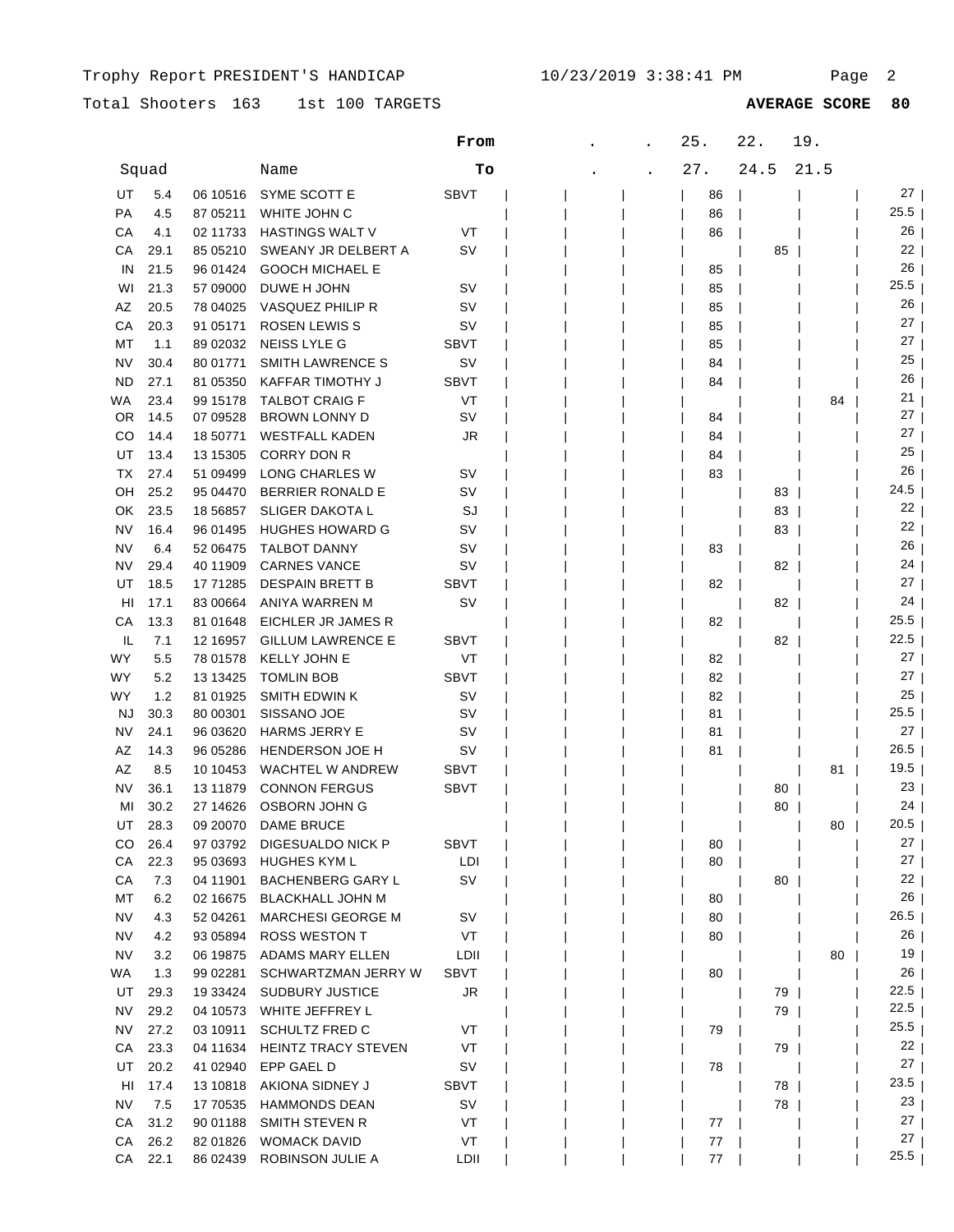|           |       |            |                            | From        | 25. | 22.  | 19.  |                 |
|-----------|-------|------------|----------------------------|-------------|-----|------|------|-----------------|
|           | Squad |            | Name                       | Tо          | 27. | 24.5 | 21.5 |                 |
| UT        | 5.4   | 06 10516   | SYME SCOTT E               | <b>SBVT</b> | 86  |      |      | 27              |
| PA        | 4.5   | 87 05211   | WHITE JOHN C               |             | 86  |      |      | 25.5            |
| СA        | 4.1   | 02 11733   | <b>HASTINGS WALT V</b>     | VT          | 86  |      |      | 26              |
| СA        | 29.1  | 85 05210   | SWEANY JR DELBERT A        | <b>SV</b>   |     | 85   |      | 22              |
| IN        | 21.5  | 96 01424   | <b>GOOCH MICHAEL E</b>     |             | 85  |      |      | 26              |
| WI        | 21.3  | 57 09000   | DUWE H JOHN                | sv          | 85  |      |      | 25.5            |
| ΑZ        | 20.5  | 78 04025   | VASQUEZ PHILIP R           | sv          | 85  |      |      | 26              |
| СA        | 20.3  | 91 05171   | <b>ROSEN LEWIS S</b>       | S٧          | 85  |      |      | 27              |
| МT        | 1.1   | 89 02032   | <b>NEISS LYLE G</b>        | <b>SBVT</b> | 85  |      |      | 27              |
| NV        | 30.4  | 80 01771   | <b>SMITH LAWRENCE S</b>    | S٧          | 84  |      |      | 25              |
| <b>ND</b> | 27.1  | 81 05350   | KAFFAR TIMOTHY J           | <b>SBVT</b> | 84  |      |      | 26              |
| WA        | 23.4  | 99 15178   | <b>TALBOT CRAIG F</b>      | VT          |     |      | 84   | 21              |
| 0R        | 14.5  | 07 09528   | BROWN LONNY D              | S٧          | 84  |      |      | 27              |
| CO        | 14.4  | 18 50771   | <b>WESTFALL KADEN</b>      | JR          | 84  |      |      | 27              |
| UT        | 13.4  | 13 15305   | <b>CORRY DON R</b>         |             | 84  |      |      | 25              |
| ТX        | 27.4  | 51 09499   | LONG CHARLES W             | sv          | 83  |      |      | 26              |
| OН        | 25.2  | 95 04470   | <b>BERRIER RONALD E</b>    | S٧          |     | 83   |      | 24.5            |
| OK        | 23.5  | 18 5 68 57 | SLIGER DAKOTA L            | SJ          |     | 83   |      | 22              |
| <b>NV</b> | 16.4  | 96 01495   | <b>HUGHES HOWARD G</b>     | S٧          |     | 83   |      | 22              |
| NV        | 6.4   | 52 06475   | <b>TALBOT DANNY</b>        | sv          | 83  |      |      | 26              |
| NV        | 29.4  | 40 11909   | <b>CARNES VANCE</b>        | sv          |     | 82   |      | 24              |
| UT        | 18.5  | 17 71285   | <b>DESPAIN BRETT B</b>     | SBVT        | 82  |      |      | 27              |
| HI        | 17.1  | 83 00664   | ANIYA WARREN M             | S٧          |     | 82   |      | 24              |
| СA        | 13.3  | 81 01 648  | EICHLER JR JAMES R         |             | 82  |      |      | 25.5            |
| IL        | 7.1   | 12 16957   | <b>GILLUM LAWRENCE E</b>   | SBVT        |     | 82   |      | 22.5            |
| WY        | 5.5   | 78 01578   | <b>KELLY JOHN E</b>        | VT          | 82  |      |      | $27 \mid$       |
| WY        | 5.2   | 13 13 425  | <b>TOMLIN BOB</b>          | <b>SBVT</b> | 82  |      |      | $27 \mid$       |
| WY        | 1.2   | 81 01925   | <b>SMITH EDWIN K</b>       | sv          | 82  |      |      | 25              |
| <b>NJ</b> | 30.3  | 80 00301   | SISSANO JOE                | sv          | 81  |      |      | 25.5            |
| NV        | 24.1  | 96 03620   | <b>HARMS JERRY E</b>       | S٧          | 81  |      |      | 27              |
| AZ        | 14.3  | 96 05286   | <b>HENDERSON JOE H</b>     | sv          | 81  |      |      | 26.5            |
| AZ        | 8.5   | 10 10 453  | <b>WACHTEL W ANDREW</b>    | <b>SBVT</b> |     |      | 81   | 19.5            |
| NV        | 36.1  | 13 11 879  | <b>CONNON FERGUS</b>       | <b>SBVT</b> |     | 80   |      | 23              |
| MI        | 30.2  | 27 14626   | OSBORN JOHN G              |             |     | 80   |      | 24              |
| UT        | 28.3  | 09 20070   | <b>DAME BRUCE</b>          |             |     |      | 80   | 20.5            |
| CO.       | 26.4  | 97 03792   | DIGESUALDO NICK P          | <b>SBVT</b> | 80  |      |      | 27 <sub>1</sub> |
| CA        | 22.3  | 95 03693   | HUGHES KYM L               | LDI         | 80  |      |      | $27 \mid$       |
| СA        | 7.3   | 04 11901   | <b>BACHENBERG GARY L</b>   | <b>SV</b>   |     | 80   |      | 22              |
| МT        | 6.2   | 02 16675   | <b>BLACKHALL JOHN M</b>    |             | 80  |      |      | $26 \mid$       |
| <b>NV</b> | 4.3   | 52 04 261  | <b>MARCHESI GEORGE M</b>   | <b>SV</b>   | 80  |      |      | 26.5            |
| NV        | 4.2   | 93 05894   | <b>ROSS WESTON T</b>       | VT          | 80  |      |      | $26$            |
| <b>NV</b> | 3.2   | 06 19875   | ADAMS MARY ELLEN           | LDII        |     |      | 80   | 19              |
| WA        | 1.3   | 99 02281   | SCHWARTZMAN JERRY W        | SBVT        | 80  |      |      | 26              |
| UT        | 29.3  | 19 33424   | SUDBURY JUSTICE            | JR          |     | 79   |      | 22.5            |
| <b>NV</b> | 29.2  | 04 10573   | WHITE JEFFREY L            |             |     | 79   |      | 22.5            |
| NV        | 27.2  | 03 10911   | <b>SCHULTZ FRED C</b>      | VT          | 79  |      |      | 25.5            |
| СA        | 23.3  | 04 11634   | <b>HEINTZ TRACY STEVEN</b> | VT          |     | 79   |      | 22 <sub>1</sub> |
| UT        | 20.2  | 41 02940   | EPP GAEL D                 | sv          | 78  |      |      | 27              |
| HI        | 17.4  | 13 10 818  | AKIONA SIDNEY J            | SBVT        |     | 78   |      | 23.5            |
| NV        | 7.5   | 17 70535   | <b>HAMMONDS DEAN</b>       | <b>SV</b>   |     | 78   |      | 23 <sub>1</sub> |
| CA        | 31.2  | 90 01188   | SMITH STEVEN R             | VT          | 77  |      |      | 27              |
| СA        | 26.2  | 82 01826   | <b>WOMACK DAVID</b>        | VT          | 77  |      |      | 27              |
| CA        | 22.1  | 86 02439   | ROBINSON JULIE A           | LDII        | 77  |      |      | 25.5            |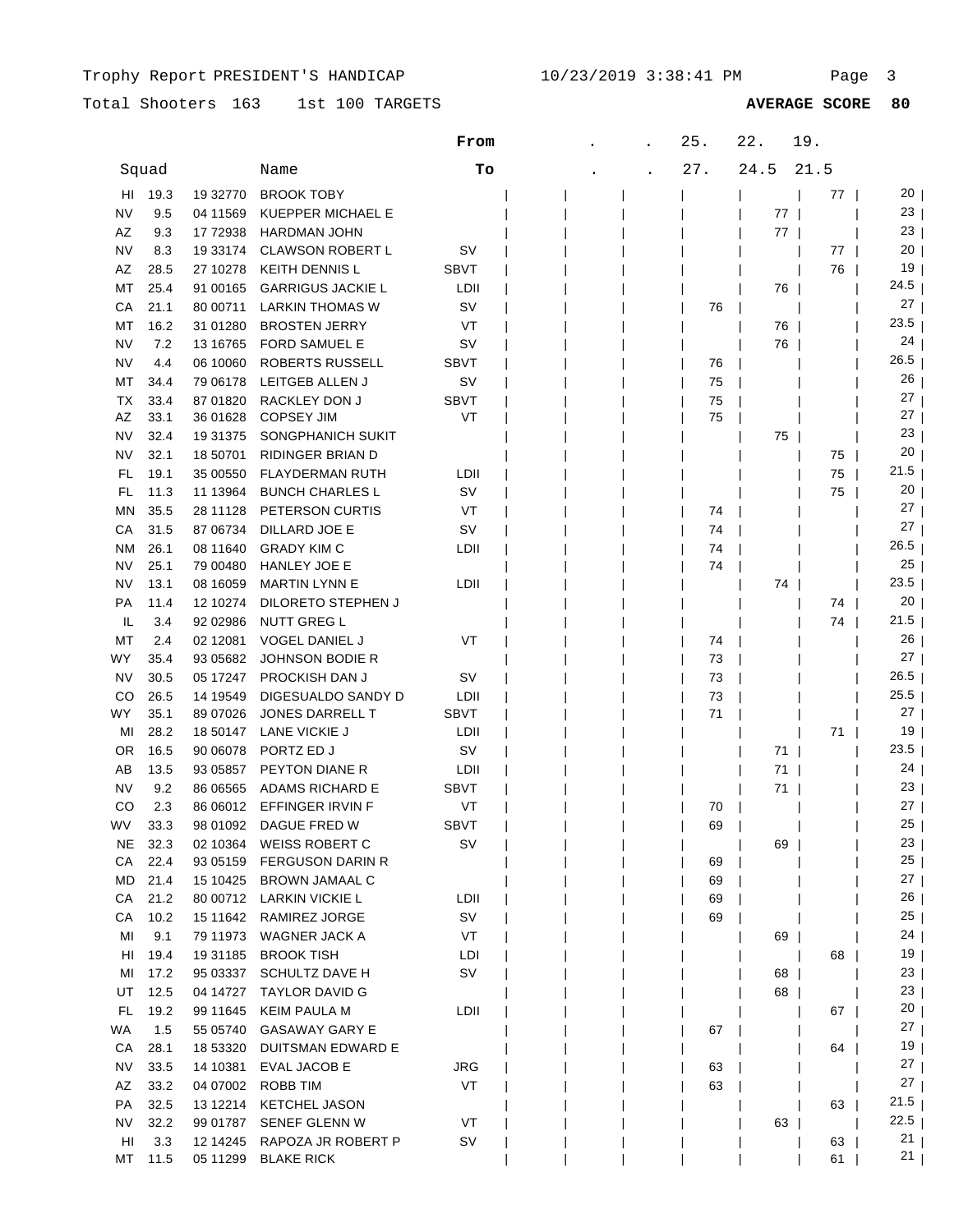|               |      |           |                          | From        |     | 25.  | 22.  | 19. |                 |
|---------------|------|-----------|--------------------------|-------------|-----|------|------|-----|-----------------|
| Squad<br>Name |      |           | Tо                       |             | 27. | 24.5 | 21.5 |     |                 |
| HI            | 19.3 | 19 32770  | <b>BROOK TOBY</b>        |             |     |      |      | 77  | 20 l            |
| NV            | 9.5  | 04 11569  | KUEPPER MICHAEL E        |             |     |      | 77   |     | 23              |
| AZ            | 9.3  | 17 72938  | <b>HARDMAN JOHN</b>      |             |     |      | 77   |     | 23              |
| <b>NV</b>     | 8.3  | 19 33174  | <b>CLAWSON ROBERT L</b>  | sv          |     |      |      | 77  | 20              |
| AZ            | 28.5 | 27 10278  | <b>KEITH DENNIS L</b>    | <b>SBVT</b> |     |      |      | 76  | 19              |
| MT            | 25.4 | 91 00165  | <b>GARRIGUS JACKIE L</b> | LDII        |     |      | 76   |     | 24.5            |
| СA            | 21.1 | 80 00711  | <b>LARKIN THOMAS W</b>   | SV          |     | 76   |      |     | 27              |
| МT            | 16.2 | 31 01280  | <b>BROSTEN JERRY</b>     | VT          |     |      | 76   |     | 23.5            |
| NV            | 7.2  | 13 16765  | FORD SAMUEL E            | SV          |     |      | 76   |     | 24              |
| NV            | 4.4  | 06 10060  | ROBERTS RUSSELL          | <b>SBVT</b> |     | 76   |      |     | 26.5            |
| МT            | 34.4 | 79 06178  | LEITGEB ALLEN J          | sv          |     | 75   |      |     | 26              |
| ТX            | 33.4 | 87 01820  | RACKLEY DON J            | <b>SBVT</b> |     | 75   |      |     | 27              |
| AZ            | 33.1 | 36 01628  | <b>COPSEY JIM</b>        | VT          |     | 75   |      |     | 27              |
| NV            | 32.4 | 19 31 375 | SONGPHANICH SUKIT        |             |     |      | 75   |     | 23              |
| NV            | 32.1 | 18 50701  | RIDINGER BRIAN D         |             |     |      |      | 75  | 20              |
| FL            | 19.1 | 35 00550  | <b>FLAYDERMAN RUTH</b>   | LDII        |     |      |      | 75  | 21.5            |
| FL            | 11.3 | 11 13964  | <b>BUNCH CHARLES L</b>   | SV          |     |      |      | 75  | 20              |
| MN            | 35.5 | 28 11128  | PETERSON CURTIS          | VT          |     | 74   |      |     | 27              |
| СA            | 31.5 | 87 06734  | DILLARD JOE E            | SV          |     | 74   |      |     | 27              |
| <b>NM</b>     | 26.1 | 08 11 640 | <b>GRADY KIM C</b>       | LDII        |     | 74   |      |     | 26.5            |
| NV            | 25.1 | 79 00480  | HANLEY JOE E             |             |     | 74   |      |     | 25              |
| NV            | 13.1 | 08 16059  | <b>MARTIN LYNN E</b>     | LDII        |     |      | 74   |     | 23.5            |
| PA            | 11.4 | 12 10274  | DILORETO STEPHEN J       |             |     |      |      | 74  | 20              |
| IL            | 3.4  | 92 02986  | <b>NUTT GREG L</b>       |             |     |      |      | 74  | 21.5            |
| МT            | 2.4  | 02 12081  | VOGEL DANIEL J           | VT          |     | 74   |      |     | 26              |
| WY            | 35.4 | 93 05 682 | <b>JOHNSON BODIE R</b>   |             |     | 73   |      |     | 27              |
| NV            | 30.5 | 05 17247  | PROCKISH DAN J           | sv          |     | 73   |      |     | 26.5            |
| CO            | 26.5 | 14 19549  | DIGESUALDO SANDY D       | LDII        |     | 73   |      |     | 25.5            |
| WY            | 35.1 | 89 07026  | JONES DARRELL T          | <b>SBVT</b> |     | 71   |      |     | 27              |
| MI            | 28.2 | 18 50147  | LANE VICKIE J            | LDII        |     |      |      | 71  | 19              |
| 0R            | 16.5 | 90 06078  | PORTZ ED J               | sv          |     |      | 71   |     | 23.5            |
| AB            | 13.5 | 93 05857  | PEYTON DIANE R           | LDII        |     |      | 71   |     | 24              |
| NV            | 9.2  | 86 06565  | <b>ADAMS RICHARD E</b>   | <b>SBVT</b> |     |      | 71   |     | 23              |
| CO            | 2.3  | 86 06012  | EFFINGER IRVIN F         | VT          |     | 70   |      |     | 27              |
| WV            | 33.3 | 98 01092  | DAGUE FRED W             | <b>SBVT</b> |     | 69   |      |     | 25              |
| NE            | 32.3 | 02 10364  | <b>WEISS ROBERT C</b>    | SV          |     |      | 69   |     | 23              |
| CA            | 22.4 | 93 05159  | <b>FERGUSON DARIN R</b>  |             |     | 69   |      |     | 25              |
| MD            | 21.4 | 15 10425  | <b>BROWN JAMAAL C</b>    |             |     | 69   |      |     | 27              |
| СA            | 21.2 |           | 80 00712 LARKIN VICKIE L | LDII        |     | 69   |      |     | $26 \mid$       |
| СA            | 10.2 |           | 15 11642 RAMIREZ JORGE   | SV          |     | 69   |      |     | 25              |
| MI            | 9.1  | 79 11973  | WAGNER JACK A            | VT          |     |      | 69   |     | 24              |
| HI            | 19.4 | 19 31 185 | <b>BROOK TISH</b>        | LDI         |     |      |      | 68  | 19              |
| MI            | 17.2 | 95 03337  | <b>SCHULTZ DAVE H</b>    | SV          |     |      | 68   |     | 23              |
| UT            | 12.5 | 04 14727  | <b>TAYLOR DAVID G</b>    |             |     |      | 68   |     | 23              |
| FL.           | 19.2 | 99 11 645 | <b>KEIM PAULA M</b>      | LDII        |     |      |      | 67  | 20 <sub>1</sub> |
| WA            | 1.5  | 55 05740  | <b>GASAWAY GARY E</b>    |             |     | 67   |      |     | 27 <sub>1</sub> |
| CA            | 28.1 | 18 53320  | DUITSMAN EDWARD E        |             |     |      |      | 64  | 19 <sub>l</sub> |
| NV            | 33.5 | 14 10381  | <b>EVAL JACOB E</b>      | JRG         |     | 63   |      |     | 27              |
| AZ            | 33.2 | 04 07002  | <b>ROBB TIM</b>          | VT          |     | 63   |      |     | 27              |
| PA            | 32.5 | 13 12214  | <b>KETCHEL JASON</b>     |             |     |      |      | 63  | ا 21.5          |
| NV            | 32.2 | 99 01787  | <b>SENEF GLENN W</b>     | VT          |     |      | 63   |     | 22.5<br>21      |
| HI            | 3.3  | 12 14 245 | RAPOZA JR ROBERT P       | SV          |     |      |      | 63  | 21              |
| МT            | 11.5 | 05 11299  | <b>BLAKE RICK</b>        |             |     |      |      | 61  |                 |